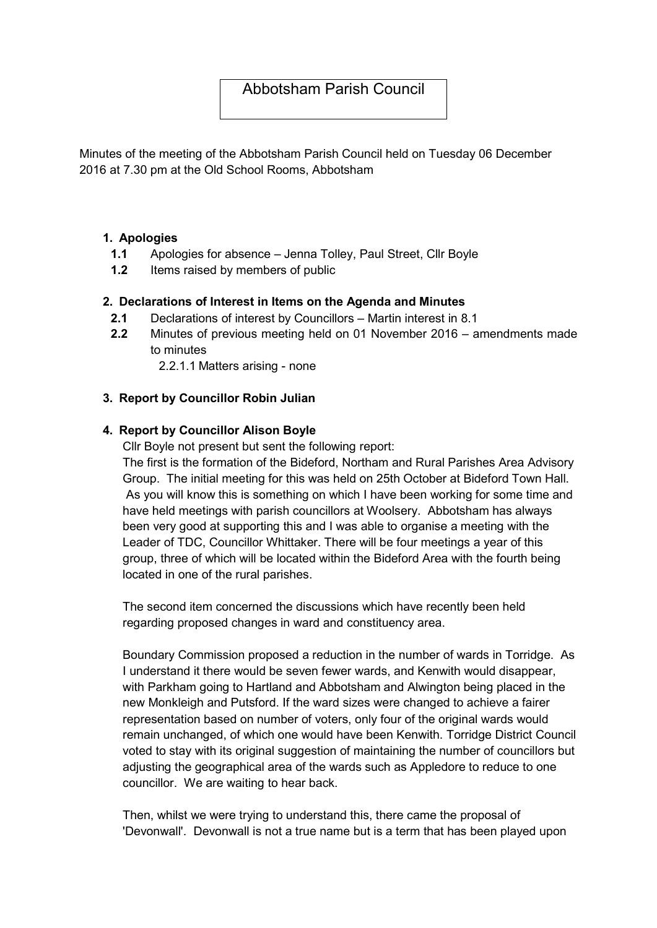# Abbotsham Parish Council

Minutes of the meeting of the Abbotsham Parish Council held on Tuesday 06 December 2016 at 7.30 pm at the Old School Rooms, Abbotsham

#### 1. Apologies

- 1.1 Apologies for absence Jenna Tolley, Paul Street, Cllr Boyle
- 1.2 Items raised by members of public

### 2. Declarations of Interest in Items on the Agenda and Minutes

- 2.1 Declarations of interest by Councillors Martin interest in 8.1
- 2.2 Minutes of previous meeting held on 01 November 2016 amendments made to minutes

2.2.1.1 Matters arising - none

### 3. Report by Councillor Robin Julian

### 4. Report by Councillor Alison Boyle

Cllr Boyle not present but sent the following report:

The first is the formation of the Bideford, Northam and Rural Parishes Area Advisory Group. The initial meeting for this was held on 25th October at Bideford Town Hall. As you will know this is something on which I have been working for some time and have held meetings with parish councillors at Woolsery. Abbotsham has always been very good at supporting this and I was able to organise a meeting with the Leader of TDC, Councillor Whittaker. There will be four meetings a year of this group, three of which will be located within the Bideford Area with the fourth being located in one of the rural parishes.

The second item concerned the discussions which have recently been held regarding proposed changes in ward and constituency area.

Boundary Commission proposed a reduction in the number of wards in Torridge. As I understand it there would be seven fewer wards, and Kenwith would disappear, with Parkham going to Hartland and Abbotsham and Alwington being placed in the new Monkleigh and Putsford. If the ward sizes were changed to achieve a fairer representation based on number of voters, only four of the original wards would remain unchanged, of which one would have been Kenwith. Torridge District Council voted to stay with its original suggestion of maintaining the number of councillors but adjusting the geographical area of the wards such as Appledore to reduce to one councillor. We are waiting to hear back.

Then, whilst we were trying to understand this, there came the proposal of 'Devonwall'. Devonwall is not a true name but is a term that has been played upon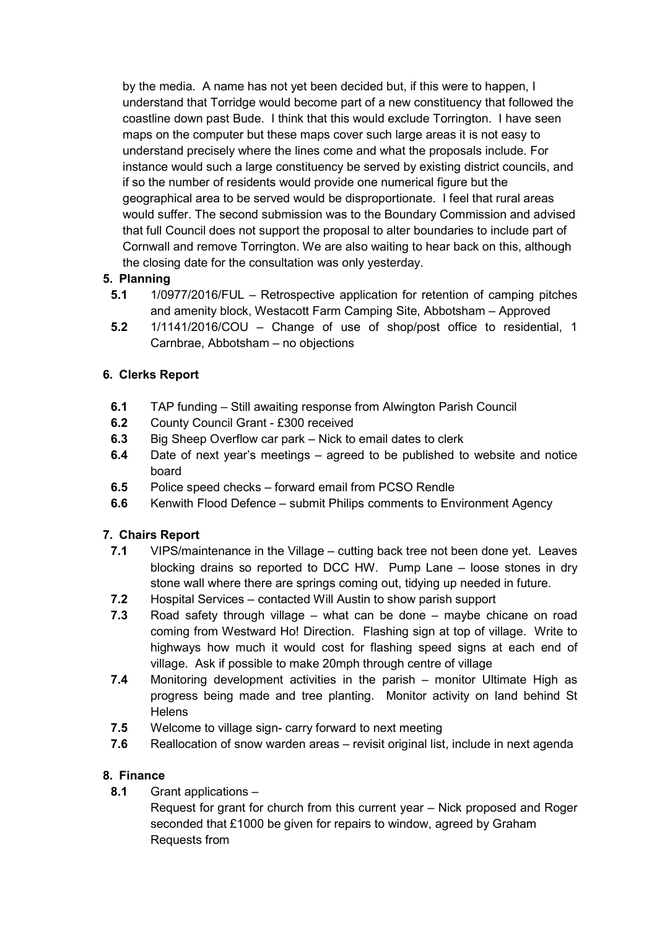by the media. A name has not yet been decided but, if this were to happen, I understand that Torridge would become part of a new constituency that followed the coastline down past Bude. I think that this would exclude Torrington. I have seen maps on the computer but these maps cover such large areas it is not easy to understand precisely where the lines come and what the proposals include. For instance would such a large constituency be served by existing district councils, and if so the number of residents would provide one numerical figure but the geographical area to be served would be disproportionate. I feel that rural areas would suffer. The second submission was to the Boundary Commission and advised that full Council does not support the proposal to alter boundaries to include part of Cornwall and remove Torrington. We are also waiting to hear back on this, although the closing date for the consultation was only yesterday.

### 5. Planning

- 5.1 1/0977/2016/FUL Retrospective application for retention of camping pitches and amenity block, Westacott Farm Camping Site, Abbotsham – Approved
- 5.2 1/1141/2016/COU Change of use of shop/post office to residential, 1 Carnbrae, Abbotsham – no objections

### 6. Clerks Report

- 6.1 TAP funding Still awaiting response from Alwington Parish Council
- 6.2 County Council Grant £300 received
- 6.3 Big Sheep Overflow car park Nick to email dates to clerk
- 6.4 Date of next year's meetings agreed to be published to website and notice board
- 6.5 Police speed checks forward email from PCSO Rendle
- 6.6 Kenwith Flood Defence submit Philips comments to Environment Agency

# 7. Chairs Report

- 7.1 VIPS/maintenance in the Village cutting back tree not been done yet. Leaves blocking drains so reported to DCC HW. Pump Lane – loose stones in dry stone wall where there are springs coming out, tidying up needed in future.
- 7.2 Hospital Services contacted Will Austin to show parish support
- 7.3 Road safety through village what can be done maybe chicane on road coming from Westward Ho! Direction. Flashing sign at top of village. Write to highways how much it would cost for flashing speed signs at each end of village. Ask if possible to make 20mph through centre of village
- 7.4 Monitoring development activities in the parish monitor Ultimate High as progress being made and tree planting. Monitor activity on land behind St **Helens**
- 7.5 Welcome to village sign- carry forward to next meeting
- 7.6 Reallocation of snow warden areas revisit original list, include in next agenda

### 8. Finance

8.1 Grant applications –

Request for grant for church from this current year – Nick proposed and Roger seconded that £1000 be given for repairs to window, agreed by Graham Requests from